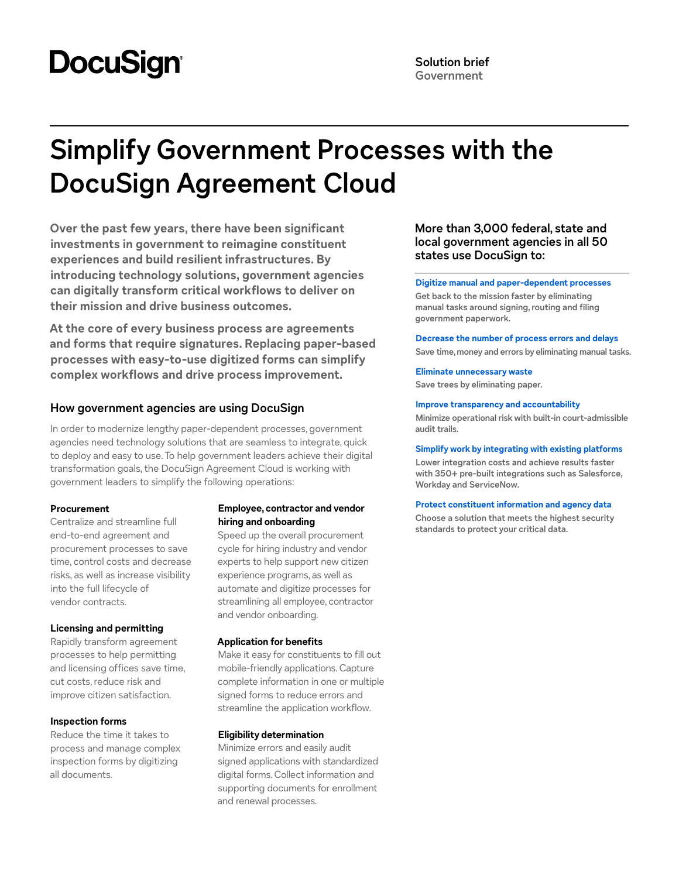# **DocuSign**

## **Simplify Government Processes with the DocuSign Agreement Cloud**

**Over the past few years, there have been significant investments in government to reimagine constituent experiences and build resilient infrastructures. By introducing technology solutions, government agencies can digitally transform critical workflows to deliver on their mission and drive business outcomes.**

**At the core of every business process are agreements and forms that require signatures. Replacing paper-based processes with easy-to-use digitized forms can simplify complex workflows and drive process improvement.**

#### **How government agencies are using DocuSign**

In order to modernize lengthy paper-dependent processes, government agencies need technology solutions that are seamless to integrate, quick to deploy and easy to use. To help government leaders achieve their digital transformation goals, the DocuSign Agreement Cloud is working with government leaders to simplify the following operations:

#### **Procurement**

Centralize and streamline full end-to-end agreement and procurement processes to save time, control costs and decrease risks, as well as increase visibility into the full lifecycle of vendor contracts.

#### **Licensing and permitting**

Rapidly transform agreement processes to help permitting and licensing offices save time, cut costs, reduce risk and improve citizen satisfaction.

#### **Inspection forms**

Reduce the time it takes to process and manage complex inspection forms by digitizing all documents.

#### **Employee, contractor and vendor hiring and onboarding**

Speed up the overall procurement cycle for hiring industry and vendor experts to help support new citizen experience programs, as well as automate and digitize processes for streamlining all employee, contractor and vendor onboarding.

#### **Application for benefits**

Make it easy for constituents to fill out mobile-friendly applications. Capture complete information in one or multiple signed forms to reduce errors and streamline the application workflow.

#### **Eligibility determination**

Minimize errors and easily audit signed applications with standardized digital forms. Collect information and supporting documents for enrollment and renewal processes.

#### **More than 3,000 federal, state and local government agencies in all 50 states use DocuSign to:**

#### **Digitize manual and paper-dependent processes**

**Get back to the mission faster by eliminating manual tasks around signing, routing and filing government paperwork.**

#### **Decrease the number of process errors and delays**

**Save time, money and errors by eliminating manual tasks.** 

#### **Eliminate unnecessary waste**

**Save trees by eliminating paper.**

#### **Improve transparency and accountability**

**Minimize operational risk with built-in court-admissible audit trails.**

#### **Simplify work by integrating with existing platforms**

**Lower integration costs and achieve results faster with 350+ pre-built integrations such as Salesforce, Workday and ServiceNow.** 

#### **Protect constituent information and agency data**

**Choose a solution that meets the highest security standards to protect your critical data.**